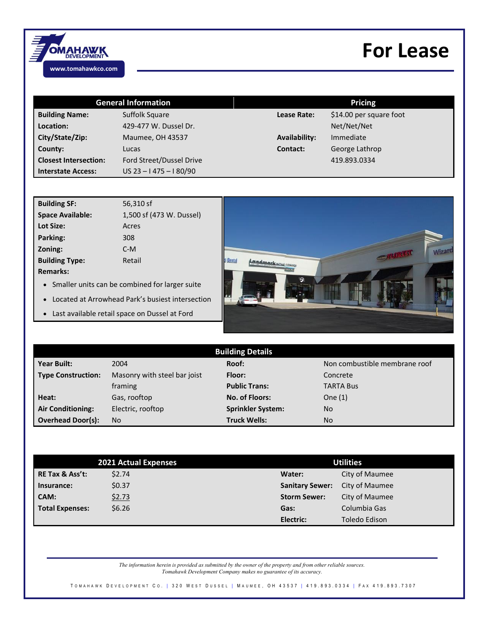

## **For Lease**

| <b>General Information</b>   |                          | <b>Pricing</b>       |                         |
|------------------------------|--------------------------|----------------------|-------------------------|
| <b>Building Name:</b>        | Suffolk Square           | <b>Lease Rate:</b>   | \$14.00 per square foot |
| Location:                    | 429-477 W. Dussel Dr.    |                      | Net/Net/Net             |
| City/State/Zip:              | <b>Maumee, OH 43537</b>  | <b>Availability:</b> | Immediate               |
| County:                      | Lucas                    | Contact:             | George Lathrop          |
| <b>Closest Intersection:</b> | Ford Street/Dussel Drive |                      | 419.893.0334            |
| <b>Interstate Access:</b>    | $US$ 23 - 1475 - 180/90  |                      |                         |

| <b>Building SF:</b>                                                                                                                                                                                                                               | 56,310 sf                                                                    |  |
|---------------------------------------------------------------------------------------------------------------------------------------------------------------------------------------------------------------------------------------------------|------------------------------------------------------------------------------|--|
| <b>Space Available:</b>                                                                                                                                                                                                                           | 1,500 sf (473 W. Dussel)                                                     |  |
| Lot Size:                                                                                                                                                                                                                                         | Acres                                                                        |  |
| Parking:                                                                                                                                                                                                                                          | 308                                                                          |  |
| Zoning:                                                                                                                                                                                                                                           | $C-M$                                                                        |  |
| <b>Building Type:</b>                                                                                                                                                                                                                             | Retail                                                                       |  |
| <b>Remarks:</b>                                                                                                                                                                                                                                   |                                                                              |  |
| .<br>$\bullet$ . The contract of the contract of the contract of the contract of the contract of the contract of the contract of the contract of the contract of the contract of the contract of the contract of the contract of the co<br>$\sim$ | $\cdots$ $\cdots$<br><b>Contract Contract Contract Contract</b><br>$\bullet$ |  |

- Smaller units can be combined for larger suite
- Located at Arrowhead Park's busiest intersection
- Last available retail space on Dussel at Ford



| <b>Building Details</b>   |                              |                          |                               |  |  |
|---------------------------|------------------------------|--------------------------|-------------------------------|--|--|
| <b>Year Built:</b>        | 2004                         | Roof:                    | Non combustible membrane roof |  |  |
| <b>Type Construction:</b> | Masonry with steel bar joist | Floor:                   | Concrete                      |  |  |
|                           | framing                      | <b>Public Trans:</b>     | <b>TARTA Bus</b>              |  |  |
| Heat:                     | Gas, rooftop                 | No. of Floors:           | One $(1)$                     |  |  |
| <b>Air Conditioning:</b>  | Electric, rooftop            | <b>Sprinkler System:</b> | No                            |  |  |
| <b>Overhead Door(s):</b>  | <b>No</b>                    | <b>Truck Wells:</b>      | No                            |  |  |

| 2021 Actual Expenses       |        | <b>Utilities</b>                         |
|----------------------------|--------|------------------------------------------|
| <b>RE Tax &amp; Ass't:</b> | \$2.74 | City of Maumee<br>Water:                 |
| Insurance:                 | \$0.37 | City of Maumee<br><b>Sanitary Sewer:</b> |
| CAM:                       | \$2.73 | City of Maumee<br><b>Storm Sewer:</b>    |
| <b>Total Expenses:</b>     | \$6.26 | Columbia Gas<br>Gas:                     |
|                            |        | Electric:<br>Toledo Edison               |

*The information herein is provided as submitted by the owner of the property and from other reliable sources. Tomahawk Development Company makes no guarantee of its accuracy.*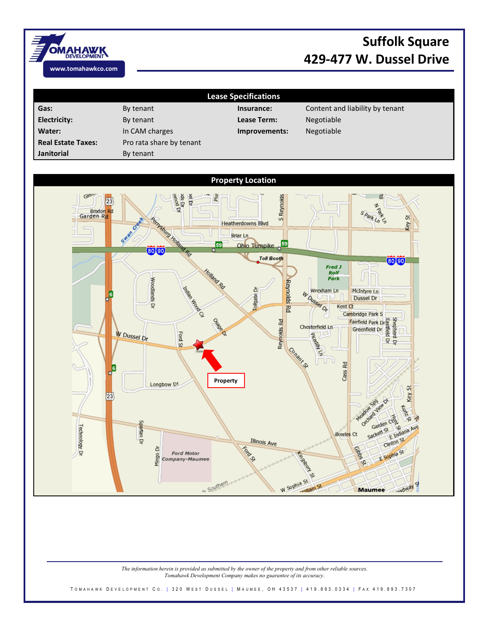

## **Suffolk Square 429-477 W. Dussel Drive**

**Lease Specifications** Gas: By tenant By tenant **Insurance:** Content and liability by tenant **Electricity:** By tenant **Lease Term:** Negotiable **Water:** In CAM charges **Improvements:** Negotiable **Real Estate Taxes:** Pro rata share by tenant **Janitorial** By tenant



*The information herein is provided as submitted by the owner of the property and from other reliable sources. Tomahawk Development Company makes no guarantee of its accuracy.*

T O M A H A W K D E V E L O P M E N T C O. | 320 W E ST D U S S EL | M A U M E E , O H 43537 | 419.893.0334 | F A X 419.893.7307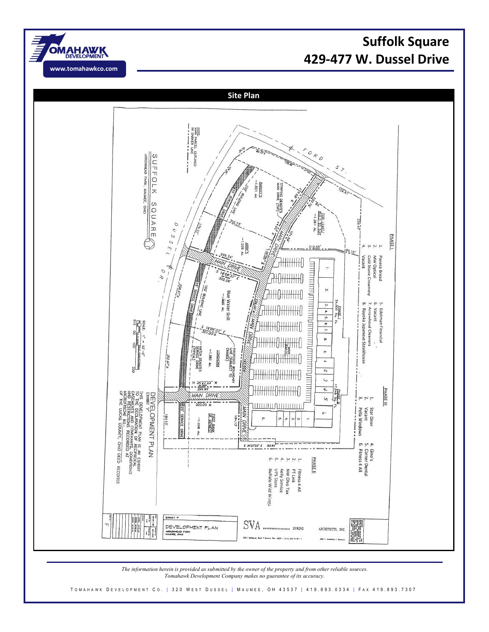





*The information herein is provided as submitted by the owner of the property and from other reliable sources. Tomahawk Development Company makes no guarantee of its accuracy.*

T O M A H A W K D E V E L O P M E N T C O . | 320 W E S T D U S S E L | M A U M E E , O H 43537 | 419.893.0334 | F A X 419.893.7307